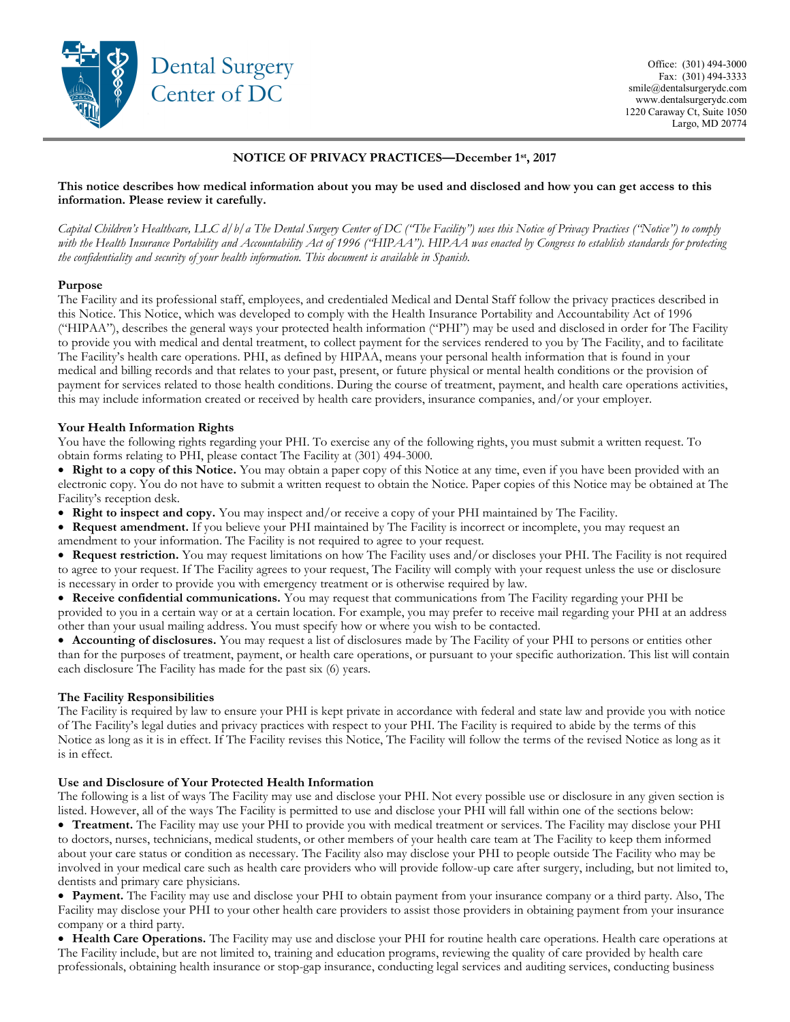

# NOTICE OF PRIVACY PRACTICES—December 1st, 2017

### This notice describes how medical information about you may be used and disclosed and how you can get access to this information. Please review it carefully.

Capital Children's Healthcare, LLC d/b/a The Dental Surgery Center of DC ("The Facility") uses this Notice of Privacy Practices ("Notice") to comply with the Health Insurance Portability and Accountability Act of 1996 ("HIPAA"). HIPAA was enacted by Congress to establish standards for protecting the confidentiality and security of your health information. This document is available in Spanish.

### Purpose

The Facility and its professional staff, employees, and credentialed Medical and Dental Staff follow the privacy practices described in this Notice. This Notice, which was developed to comply with the Health Insurance Portability and Accountability Act of 1996 ("HIPAA"), describes the general ways your protected health information ("PHI") may be used and disclosed in order for The Facility to provide you with medical and dental treatment, to collect payment for the services rendered to you by The Facility, and to facilitate The Facility's health care operations. PHI, as defined by HIPAA, means your personal health information that is found in your medical and billing records and that relates to your past, present, or future physical or mental health conditions or the provision of payment for services related to those health conditions. During the course of treatment, payment, and health care operations activities, this may include information created or received by health care providers, insurance companies, and/or your employer.

### Your Health Information Rights

You have the following rights regarding your PHI. To exercise any of the following rights, you must submit a written request. To obtain forms relating to PHI, please contact The Facility at (301) 494-3000.

• Right to a copy of this Notice. You may obtain a paper copy of this Notice at any time, even if you have been provided with an electronic copy. You do not have to submit a written request to obtain the Notice. Paper copies of this Notice may be obtained at The Facility's reception desk.

• Right to inspect and copy. You may inspect and/or receive a copy of your PHI maintained by The Facility.

 Request amendment. If you believe your PHI maintained by The Facility is incorrect or incomplete, you may request an amendment to your information. The Facility is not required to agree to your request.

• Request restriction. You may request limitations on how The Facility uses and/or discloses your PHI. The Facility is not required to agree to your request. If The Facility agrees to your request, The Facility will comply with your request unless the use or disclosure is necessary in order to provide you with emergency treatment or is otherwise required by law.

 Receive confidential communications. You may request that communications from The Facility regarding your PHI be provided to you in a certain way or at a certain location. For example, you may prefer to receive mail regarding your PHI at an address other than your usual mailing address. You must specify how or where you wish to be contacted.

• Accounting of disclosures. You may request a list of disclosures made by The Facility of your PHI to persons or entities other than for the purposes of treatment, payment, or health care operations, or pursuant to your specific authorization. This list will contain each disclosure The Facility has made for the past six (6) years.

## The Facility Responsibilities

The Facility is required by law to ensure your PHI is kept private in accordance with federal and state law and provide you with notice of The Facility's legal duties and privacy practices with respect to your PHI. The Facility is required to abide by the terms of this Notice as long as it is in effect. If The Facility revises this Notice, The Facility will follow the terms of the revised Notice as long as it is in effect.

## Use and Disclosure of Your Protected Health Information

The following is a list of ways The Facility may use and disclose your PHI. Not every possible use or disclosure in any given section is listed. However, all of the ways The Facility is permitted to use and disclose your PHI will fall within one of the sections below:

 Treatment. The Facility may use your PHI to provide you with medical treatment or services. The Facility may disclose your PHI to doctors, nurses, technicians, medical students, or other members of your health care team at The Facility to keep them informed about your care status or condition as necessary. The Facility also may disclose your PHI to people outside The Facility who may be involved in your medical care such as health care providers who will provide follow-up care after surgery, including, but not limited to, dentists and primary care physicians.

• Payment. The Facility may use and disclose your PHI to obtain payment from your insurance company or a third party. Also, The Facility may disclose your PHI to your other health care providers to assist those providers in obtaining payment from your insurance company or a third party.

• Health Care Operations. The Facility may use and disclose your PHI for routine health care operations. Health care operations at The Facility include, but are not limited to, training and education programs, reviewing the quality of care provided by health care professionals, obtaining health insurance or stop-gap insurance, conducting legal services and auditing services, conducting business